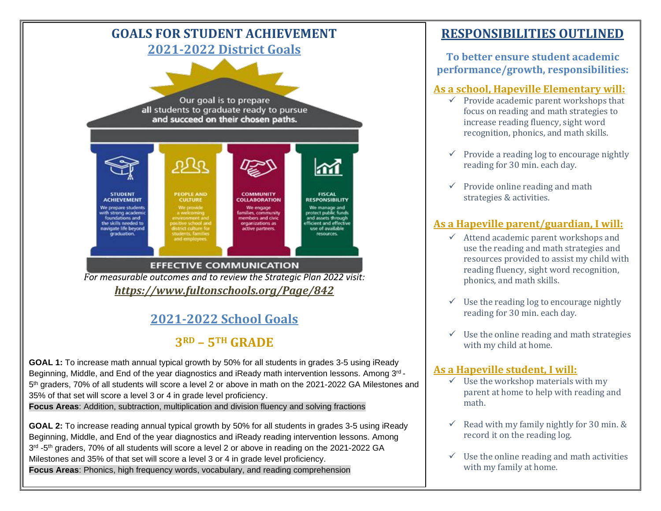

### **2021-2022 School Goals**

## **3RD – 5TH GRADE**

**GOAL 1:** To increase math annual typical growth by 50% for all students in grades 3-5 using iReady Beginning, Middle, and End of the year diagnostics and iReady math intervention lessons. Among 3<sup>rd</sup> -5<sup>th</sup> graders, 70% of all students will score a level 2 or above in math on the 2021-2022 GA Milestones and 35% of that set will score a level 3 or 4 in grade level proficiency.

**Focus Areas**: Addition, subtraction, multiplication and division fluency and solving fractions

**GOAL 2:** To increase reading annual typical growth by 50% for all students in grades 3-5 using iReady Beginning, Middle, and End of the year diagnostics and iReady reading intervention lessons. Among 3<sup>rd</sup> -5<sup>th</sup> graders, 70% of all students will score a level 2 or above in reading on the 2021-2022 GA Milestones and 35% of that set will score a level 3 or 4 in grade level proficiency. **Focus Areas**: Phonics, high frequency words, vocabulary, and reading comprehension

### **RESPONSIBILITIES OUTLINED**

#### **To better ensure student academic performance/growth, responsibilities:**

#### **As a school, Hapeville Elementary will:**

- $\checkmark$  Provide academic parent workshops that focus on reading and math strategies to increase reading fluency, sight word recognition, phonics, and math skills.
- $\checkmark$  Provide a reading log to encourage nightly reading for 30 min. each day.
- $\checkmark$  Provide online reading and math strategies & activities.

### **As a Hapeville parent/guardian, I will:**

- $\checkmark$  Attend academic parent workshops and use the reading and math strategies and resources provided to assist my child with reading fluency, sight word recognition, phonics, and math skills.
- $\checkmark$  Use the reading log to encourage nightly reading for 30 min. each day.
- $\checkmark$  Use the online reading and math strategies with my child at home.

#### **As a Hapeville student, I will:**

- $\checkmark$  Use the workshop materials with my parent at home to help with reading and math.
- $\checkmark$  Read with my family nightly for 30 min. & record it on the reading log.
- $\checkmark$  Use the online reading and math activities with my family at home.